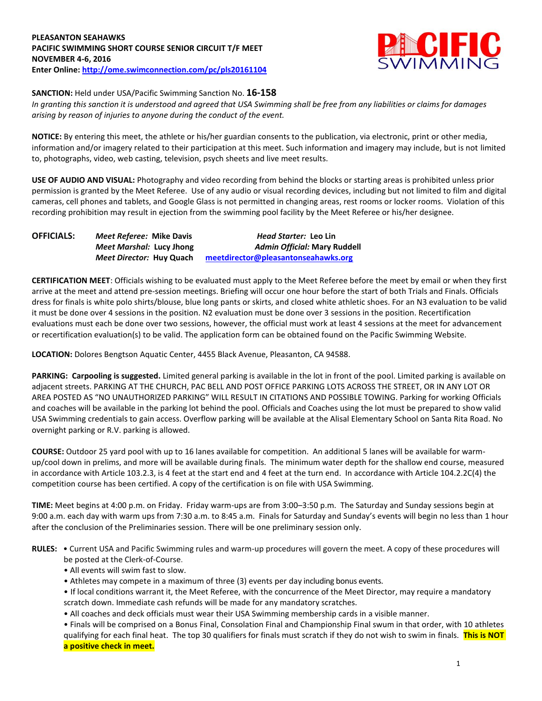## **PLEASANTON SEAHAWKS PACIFIC SWIMMING SHORT COURSE SENIOR CIRCUIT T/F MEET NOVEMBER 4-6, 2016 Enter Online: <http://ome.swimconnection.com/pc/pls20161104>**



**SANCTION:** Held under USA/Pacific Swimming Sanction No. **16-158**

*In granting this sanction it is understood and agreed that USA Swimming shall be free from any liabilities or claims for damages arising by reason of injuries to anyone during the conduct of the event.*

**NOTICE:** By entering this meet, the athlete or his/her guardian consents to the publication, via electronic, print or other media, information and/or imagery related to their participation at this meet. Such information and imagery may include, but is not limited to, photographs, video, web casting, television, psych sheets and live meet results.

**USE OF AUDIO AND VISUAL:** Photography and video recording from behind the blocks or starting areas is prohibited unless prior permission is granted by the Meet Referee. Use of any audio or visual recording devices, including but not limited to film and digital cameras, cell phones and tablets, and Google Glass is not permitted in changing areas, rest rooms or locker rooms. Violation of this recording prohibition may result in ejection from the swimming pool facility by the Meet Referee or his/her designee.

| <b>OFFICIALS:</b> | Meet Referee: Mike Davis | <i>Head Starter:</i> Leo Lin        |  |  |
|-------------------|--------------------------|-------------------------------------|--|--|
|                   | Meet Marshal: Lucy Jhong | Admin Official: Mary Ruddell        |  |  |
|                   | Meet Director: Huy Quach | meetdirector@pleasantonseahawks.org |  |  |

**CERTIFICATION MEET**: Officials wishing to be evaluated must apply to the Meet Referee before the meet by email or when they first arrive at the meet and attend pre-session meetings. Briefing will occur one hour before the start of both Trials and Finals. Officials dress for finals is white polo shirts/blouse, blue long pants or skirts, and closed white athletic shoes. For an N3 evaluation to be valid it must be done over 4 sessions in the position. N2 evaluation must be done over 3 sessions in the position. Recertification evaluations must each be done over two sessions, however, the official must work at least 4 sessions at the meet for advancement or recertification evaluation(s) to be valid. The application form can be obtained found on the Pacific Swimming Website.

**LOCATION:** Dolores Bengtson Aquatic Center, 4455 Black Avenue, Pleasanton, CA 94588.

**PARKING: Carpooling is suggested.** Limited general parking is available in the lot in front of the pool. Limited parking is available on adjacent streets. PARKING AT THE CHURCH, PAC BELL AND POST OFFICE PARKING LOTS ACROSS THE STREET, OR IN ANY LOT OR AREA POSTED AS "NO UNAUTHORIZED PARKING" WILL RESULT IN CITATIONS AND POSSIBLE TOWING. Parking for working Officials and coaches will be available in the parking lot behind the pool. Officials and Coaches using the lot must be prepared to show valid USA Swimming credentials to gain access. Overflow parking will be available at the Alisal Elementary School on Santa Rita Road. No overnight parking or R.V. parking is allowed.

**COURSE:** Outdoor 25 yard pool with up to 16 lanes available for competition. An additional 5 lanes will be available for warmup/cool down in prelims, and more will be available during finals. The minimum water depth for the shallow end course, measured in accordance with Article 103.2.3, is 4 feet at the start end and 4 feet at the turn end. In accordance with Article 104.2.2C(4) the competition course has been certified. A copy of the certification is on file with USA Swimming.

**TIME:** Meet begins at 4:00 p.m. on Friday. Friday warm-ups are from 3:00–3:50 p.m. The Saturday and Sunday sessions begin at 9:00 a.m. each day with warm ups from 7:30 a.m. to 8:45 a.m. Finals for Saturday and Sunday's events will begin no less than 1 hour after the conclusion of the Preliminaries session. There will be one preliminary session only.

**RULES:** • Current USA and Pacific Swimming rules and warm-up procedures will govern the meet. A copy of these procedures will be posted at the Clerk-of-Course.

- All events will swim fast to slow.
- Athletes may compete in a maximum of three (3) events per day including bonus events.

• If local conditions warrant it, the Meet Referee, with the concurrence of the Meet Director, may require a mandatory scratch down. Immediate cash refunds will be made for any mandatory scratches.

• All coaches and deck officials must wear their USA Swimming membership cards in a visible manner.

• Finals will be comprised on a Bonus Final, Consolation Final and Championship Final swum in that order, with 10 athletes qualifying for each final heat. The top 30 qualifiers for finals must scratch if they do not wish to swim in finals. **This is NOT a positive check in meet.**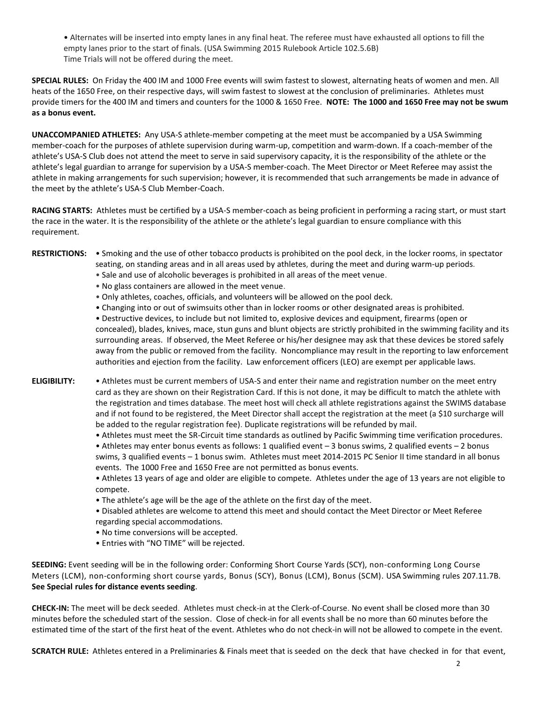• Alternates will be inserted into empty lanes in any final heat. The referee must have exhausted all options to fill the empty lanes prior to the start of finals. (USA Swimming 2015 Rulebook Article 102.5.6B) Time Trials will not be offered during the meet.

**SPECIAL RULES:** On Friday the 400 IM and 1000 Free events will swim fastest to slowest, alternating heats of women and men. All heats of the 1650 Free, on their respective days, will swim fastest to slowest at the conclusion of preliminaries. Athletes must provide timers for the 400 IM and timers and counters for the 1000 & 1650 Free. **NOTE: The 1000 and 1650 Free may not be swum as a bonus event.**

**UNACCOMPANIED ATHLETES:** Any USA-S athlete-member competing at the meet must be accompanied by a USA Swimming member-coach for the purposes of athlete supervision during warm-up, competition and warm-down. If a coach-member of the athlete's USA-S Club does not attend the meet to serve in said supervisory capacity, it is the responsibility of the athlete or the athlete's legal guardian to arrange for supervision by a USA-S member-coach. The Meet Director or Meet Referee may assist the athlete in making arrangements for such supervision; however, it is recommended that such arrangements be made in advance of the meet by the athlete's USA-S Club Member-Coach.

**RACING STARTS:** Athletes must be certified by a USA-S member-coach as being proficient in performing a racing start, or must start the race in the water. It is the responsibility of the athlete or the athlete's legal guardian to ensure compliance with this requirement.

- **RESTRICTIONS:** Smoking and the use of other tobacco products is prohibited on the pool deck, in the locker rooms, in spectator seating, on standing areas and in all areas used by athletes, during the meet and during warm-up periods.
	- Sale and use of alcoholic beverages is prohibited in all areas of the meet venue.
	- No glass containers are allowed in the meet venue.
	- Only athletes, coaches, officials, and volunteers will be allowed on the pool deck.
	- Changing into or out of swimsuits other than in locker rooms or other designated areas is prohibited.

• Destructive devices, to include but not limited to, explosive devices and equipment, firearms (open or concealed), blades, knives, mace, stun guns and blunt objects are strictly prohibited in the swimming facility and its surrounding areas. If observed, the Meet Referee or his/her designee may ask that these devices be stored safely away from the public or removed from the facility. Noncompliance may result in the reporting to law enforcement authorities and ejection from the facility. Law enforcement officers (LEO) are exempt per applicable laws.

- **ELIGIBILITY:** Athletes must be current members of USA-S and enter their name and registration number on the meet entry card as they are shown on their Registration Card. If this is not done, it may be difficult to match the athlete with the registration and times database. The meet host will check all athlete registrations against the SWIMS database and if not found to be registered, the Meet Director shall accept the registration at the meet (a \$10 surcharge will be added to the regular registration fee). Duplicate registrations will be refunded by mail.
	- Athletes must meet the SR-Circuit time standards as outlined by Pacific Swimming time verification procedures.

• Athletes may enter bonus events as follows: 1 qualified event – 3 bonus swims, 2 qualified events – 2 bonus swims, 3 qualified events – 1 bonus swim. Athletes must meet 2014-2015 PC Senior II time standard in all bonus events. The 1000 Free and 1650 Free are not permitted as bonus events.

• Athletes 13 years of age and older are eligible to compete. Athletes under the age of 13 years are not eligible to compete.

- The athlete's age will be the age of the athlete on the first day of the meet.
- Disabled athletes are welcome to attend this meet and should contact the Meet Director or Meet Referee regarding special accommodations.
- No time conversions will be accepted.
- Entries with "NO TIME" will be rejected.

**SEEDING:** Event seeding will be in the following order: Conforming Short Course Yards (SCY), non-conforming Long Course Meters (LCM), non-conforming short course yards, Bonus (SCY), Bonus (LCM), Bonus (SCM). USA Swimming rules 207.11.7B. **See Special rules for distance events seeding**.

**CHECK-IN:** The meet will be deck seeded. Athletes must check-in at the Clerk-of-Course. No event shall be closed more than 30 minutes before the scheduled start of the session. Close of check‐in for all events shall be no more than 60 minutes before the estimated time of the start of the first heat of the event. Athletes who do not check-in will not be allowed to compete in the event.

**SCRATCH RULE:** Athletes entered in a Preliminaries & Finals meet that is seeded on the deck that have checked in for that event,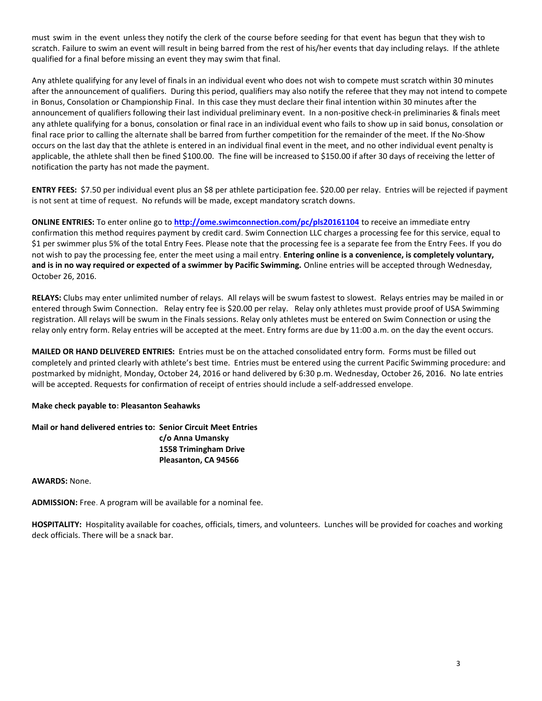must swim in the event unless they notify the clerk of the course before seeding for that event has begun that they wish to scratch. Failure to swim an event will result in being barred from the rest of his/her events that day including relays. If the athlete qualified for a final before missing an event they may swim that final.

Any athlete qualifying for any level of finals in an individual event who does not wish to compete must scratch within 30 minutes after the announcement of qualifiers. During this period, qualifiers may also notify the referee that they may not intend to compete in Bonus, Consolation or Championship Final. In this case they must declare their final intention within 30 minutes after the announcement of qualifiers following their last individual preliminary event. In a non-positive check-in preliminaries & finals meet any athlete qualifying for a bonus, consolation or final race in an individual event who fails to show up in said bonus, consolation or final race prior to calling the alternate shall be barred from further competition for the remainder of the meet. If the No-Show occurs on the last day that the athlete is entered in an individual final event in the meet, and no other individual event penalty is applicable, the athlete shall then be fined \$100.00. The fine will be increased to \$150.00 if after 30 days of receiving the letter of notification the party has not made the payment.

**ENTRY FEES:** \$7.50 per individual event plus an \$8 per athlete participation fee. \$20.00 per relay. Entries will be rejected if payment is not sent at time of request. No refunds will be made, except mandatory scratch downs.

**ONLINE ENTRIES:** To enter online go to **<http://ome.swimconnection.com/pc/pls20161104>** to receive an immediate entry confirmation this method requires payment by credit card. Swim Connection LLC charges a processing fee for this service, equal to \$1 per swimmer plus 5% of the total Entry Fees. Please note that the processing fee is a separate fee from the Entry Fees. If you do not wish to pay the processing fee, enter the meet using a mail entry. **Entering online is a convenience, is completely voluntary, and is in no way required or expected of a swimmer by Pacific Swimming.** Online entries will be accepted through Wednesday, October 26, 2016.

**RELAYS:** Clubs may enter unlimited number of relays. All relays will be swum fastest to slowest. Relays entries may be mailed in or entered through Swim Connection. Relay entry fee is \$20.00 per relay. Relay only athletes must provide proof of USA Swimming registration. All relays will be swum in the Finals sessions. Relay only athletes must be entered on Swim Connection or using the relay only entry form. Relay entries will be accepted at the meet. Entry forms are due by 11:00 a.m. on the day the event occurs.

**MAILED OR HAND DELIVERED ENTRIES:** Entries must be on the attached consolidated entry form. Forms must be filled out completely and printed clearly with athlete's best time. Entries must be entered using the current Pacific Swimming procedure: and postmarked by midnight, Monday, October 24, 2016 or hand delivered by 6:30 p.m. Wednesday, October 26, 2016. No late entries will be accepted. Requests for confirmation of receipt of entries should include a self-addressed envelope.

**Make check payable to: Pleasanton Seahawks**

**Mail or hand delivered entries to: Senior Circuit Meet Entries c/o Anna Umansky 1558 Trimingham Drive Pleasanton, CA 94566**

**AWARDS:** None.

**ADMISSION:** Free. A program will be available for a nominal fee.

**HOSPITALITY:** Hospitality available for coaches, officials, timers, and volunteers. Lunches will be provided for coaches and working deck officials. There will be a snack bar.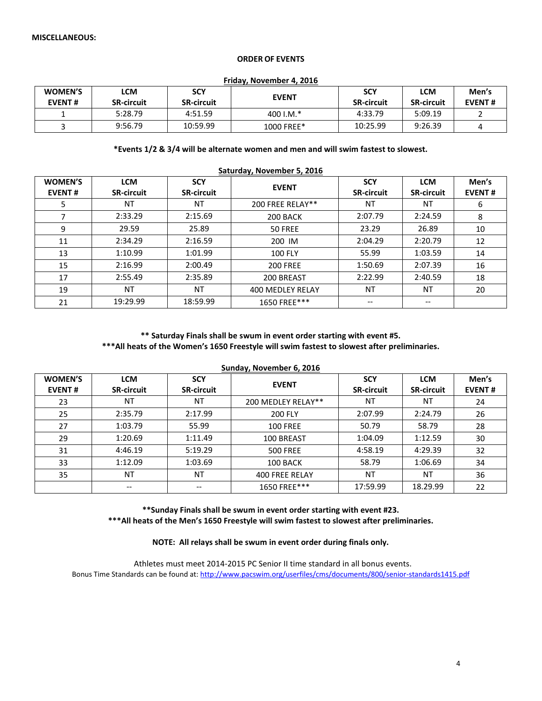### **ORDER OF EVENTS**

#### **Friday, November 4, 2016**

| <b>WOMEN'S</b><br><b>EVENT#</b> | LCM<br><b>SR-circuit</b> | <b>SCY</b><br><b>SR-circuit</b> | <b>EVENT</b> | <b>SCY</b><br><b>SR-circuit</b> | <b>LCM</b><br><b>SR-circuit</b> | Men's<br><b>EVENT#</b> |
|---------------------------------|--------------------------|---------------------------------|--------------|---------------------------------|---------------------------------|------------------------|
|                                 | 5:28.79                  | 4:51.59                         | 400 I.M. $*$ | 4:33.79                         | 5:09.19                         |                        |
|                                 | 9:56.79                  | 10:59.99                        | 1000 FREE*   | 10:25.99                        | 9:26.39                         |                        |

#### **\*Events 1/2 & 3/4 will be alternate women and men and will swim fastest to slowest.**

| Saturday, November 5, 2016      |                                 |                                 |                  |                                 |                                 |                        |  |
|---------------------------------|---------------------------------|---------------------------------|------------------|---------------------------------|---------------------------------|------------------------|--|
| <b>WOMEN'S</b><br><b>EVENT#</b> | <b>LCM</b><br><b>SR-circuit</b> | <b>SCY</b><br><b>SR-circuit</b> | <b>EVENT</b>     | <b>SCY</b><br><b>SR-circuit</b> | <b>LCM</b><br><b>SR-circuit</b> | Men's<br><b>EVENT#</b> |  |
| 5                               | NT                              | NT                              | 200 FREE RELAY** | <b>NT</b>                       | <b>NT</b>                       | 6                      |  |
| 7                               | 2:33.29                         | 2:15.69                         | 200 BACK         | 2:07.79                         | 2:24.59                         | 8                      |  |
| 9                               | 29.59                           | 25.89                           | 50 FREE          | 23.29                           | 26.89                           | 10                     |  |
| 11                              | 2:34.29                         | 2:16.59                         | 200 IM           | 2:04.29                         | 2:20.79                         | 12                     |  |
| 13                              | 1:10.99                         | 1:01.99                         | <b>100 FLY</b>   | 55.99                           | 1:03.59                         | 14                     |  |
| 15                              | 2:16.99                         | 2:00.49                         | <b>200 FREE</b>  | 1:50.69                         | 2:07.39                         | 16                     |  |
| 17                              | 2:55.49                         | 2:35.89                         | 200 BREAST       | 2:22.99                         | 2:40.59                         | 18                     |  |
| 19                              | NT                              | ΝT                              | 400 MEDLEY RELAY | <b>NT</b>                       | ΝT                              | 20                     |  |
| 21                              | 19:29.99                        | 18:59.99                        | 1650 FREE***     | --                              | $- -$                           |                        |  |

### **\*\* Saturday Finals shall be swum in event order starting with event #5. \*\*\*All heats of the Women's 1650 Freestyle will swim fastest to slowest after preliminaries.**

| Sunday, November 6, 2016        |                                 |                                 |                    |                                 |                                 |                        |  |
|---------------------------------|---------------------------------|---------------------------------|--------------------|---------------------------------|---------------------------------|------------------------|--|
| <b>WOMEN'S</b><br><b>EVENT#</b> | <b>LCM</b><br><b>SR-circuit</b> | <b>SCY</b><br><b>SR-circuit</b> | <b>EVENT</b>       | <b>SCY</b><br><b>SR-circuit</b> | <b>LCM</b><br><b>SR-circuit</b> | Men's<br><b>EVENT#</b> |  |
| 23                              | ΝT                              | NT                              | 200 MEDLEY RELAY** | <b>NT</b>                       | NT                              | 24                     |  |
| 25                              | 2:35.79                         | 2:17.99                         | 200 FLY            | 2:07.99                         | 2:24.79                         | 26                     |  |
| 27                              | 1:03.79                         | 55.99                           | <b>100 FREE</b>    | 50.79                           | 58.79                           | 28                     |  |
| 29                              | 1:20.69                         | 1:11.49                         | 100 BREAST         | 1:04.09                         | 1:12.59                         | 30                     |  |
| 31                              | 4:46.19                         | 5:19.29                         | <b>500 FREE</b>    | 4:58.19                         | 4:29.39                         | 32                     |  |
| 33                              | 1:12.09                         | 1:03.69                         | 100 BACK           | 58.79                           | 1:06.69                         | 34                     |  |
| 35                              | <b>NT</b>                       | NT                              | 400 FREE RELAY     | NT                              | NT                              | 36                     |  |
|                                 | --                              |                                 | 1650 FREE***       | 17:59.99                        | 18.29.99                        | 22                     |  |

**\*\*Sunday Finals shall be swum in event order starting with event #23. \*\*\*All heats of the Men's 1650 Freestyle will swim fastest to slowest after preliminaries.**

**NOTE: All relays shall be swum in event order during finals only.**

 Athletes must meet 2014-2015 PC Senior II time standard in all bonus events. Bonus Time Standards can be found at[: http://www.pacswim.org/userfiles/cms/documents/800/senior-standards1415.pdf](http://www.pacswim.org/userfiles/cms/documents/800/senior-standards1415.pdf)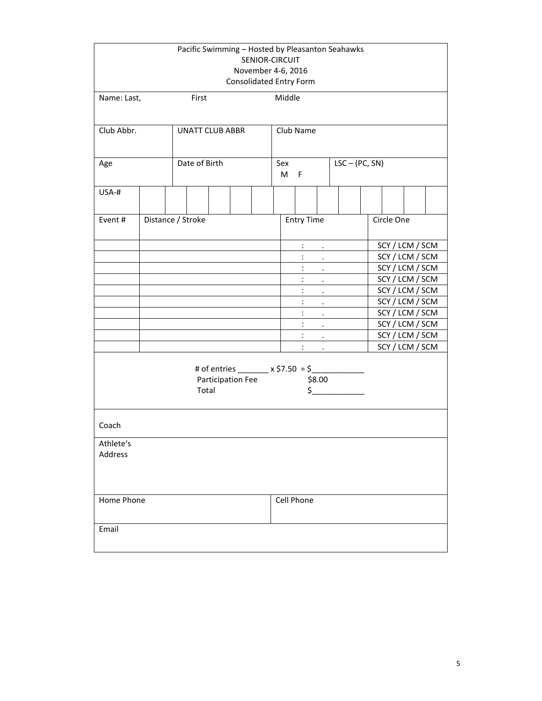|                             | Pacific Swimming - Hosted by Pleasanton Seahawks<br>SENIOR-CIRCUIT<br>November 4-6, 2016<br>Consolidated Entry Form |                   |                        |  |           |              |                      |                                                             |                      |  |            |                 |  |
|-----------------------------|---------------------------------------------------------------------------------------------------------------------|-------------------|------------------------|--|-----------|--------------|----------------------|-------------------------------------------------------------|----------------------|--|------------|-----------------|--|
| Name: Last,                 |                                                                                                                     | First             |                        |  |           | Middle       |                      |                                                             |                      |  |            |                 |  |
| Club Abbr.                  |                                                                                                                     |                   | <b>UNATT CLUB ABBR</b> |  | Club Name |              |                      |                                                             |                      |  |            |                 |  |
| Age                         |                                                                                                                     |                   | Date of Birth          |  |           | Sex<br>$M$ F |                      |                                                             | $LSC - (PC, SN)$     |  |            |                 |  |
| USA-#                       |                                                                                                                     |                   |                        |  |           |              |                      |                                                             |                      |  |            |                 |  |
| Event#                      |                                                                                                                     | Distance / Stroke |                        |  |           |              | <b>Entry Time</b>    |                                                             |                      |  | Circle One |                 |  |
|                             |                                                                                                                     |                   |                        |  |           |              | $\ddot{\phantom{a}}$ | $\sim 10^{-10}$ km $^{-1}$                                  |                      |  |            | SCY / LCM / SCM |  |
|                             |                                                                                                                     |                   |                        |  |           |              | $\ddot{\cdot}$       | $\mathbf{r} = \mathbf{r}$                                   |                      |  |            | SCY / LCM / SCM |  |
|                             |                                                                                                                     |                   |                        |  |           |              | $\ddot{\cdot}$       | $\sim 100$                                                  |                      |  |            | SCY / LCM / SCM |  |
|                             |                                                                                                                     |                   |                        |  |           |              | $\ddot{\cdot}$       | $\sim 100$                                                  |                      |  |            | SCY / LCM / SCM |  |
|                             |                                                                                                                     |                   |                        |  |           |              | $\ddot{\cdot}$       | $\mathcal{L}^{\text{max}}$                                  |                      |  |            | SCY / LCM / SCM |  |
|                             |                                                                                                                     |                   |                        |  |           |              | $\ddot{\phantom{a}}$ | $\bullet$ - $\bullet$ - $\bullet$                           |                      |  |            | SCY / LCM / SCM |  |
|                             |                                                                                                                     |                   |                        |  |           |              | $\ddot{\phantom{a}}$ | $\mathcal{A}^{\mathcal{A}}$ and $\mathcal{A}^{\mathcal{A}}$ |                      |  |            | SCY / LCM / SCM |  |
|                             |                                                                                                                     |                   |                        |  |           |              | $\ddot{\phantom{a}}$ |                                                             | and the company      |  |            | SCY / LCM / SCM |  |
|                             |                                                                                                                     |                   |                        |  |           |              | $\ddot{\phantom{a}}$ | $\sim$                                                      |                      |  |            | SCY / LCM / SCM |  |
|                             |                                                                                                                     |                   |                        |  |           |              |                      |                                                             | and the state of the |  |            | SCY / LCM / SCM |  |
|                             | # of entries _______ x \$7.50 = \$_________<br>Participation Fee<br>\$8.00<br>$\ddot{\texttt{S}}$<br>Total          |                   |                        |  |           |              |                      |                                                             |                      |  |            |                 |  |
| Coach                       |                                                                                                                     |                   |                        |  |           |              |                      |                                                             |                      |  |            |                 |  |
| Athlete's<br><b>Address</b> |                                                                                                                     |                   |                        |  |           |              |                      |                                                             |                      |  |            |                 |  |
| Home Phone                  |                                                                                                                     |                   | Cell Phone             |  |           |              |                      |                                                             |                      |  |            |                 |  |
| Email                       |                                                                                                                     |                   |                        |  |           |              |                      |                                                             |                      |  |            |                 |  |